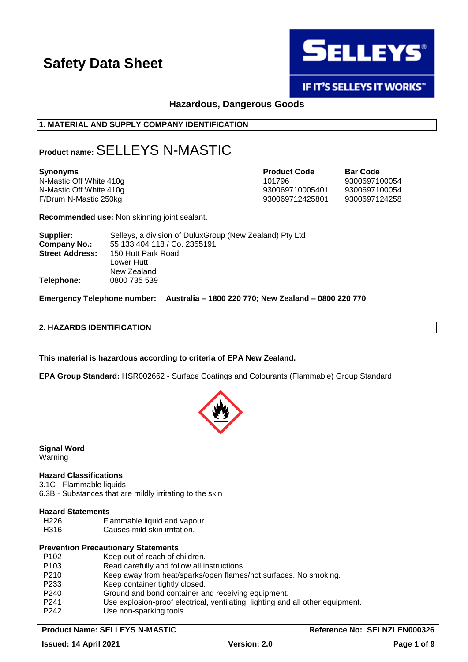

# IF IT'S SELLEYS IT WORKS"

# **Hazardous, Dangerous Goods**

# **1. MATERIAL AND SUPPLY COMPANY IDENTIFICATION**

# **Product name:** SELLEYS N-MASTIC

| <b>Synonyms</b>         | <b>Product Code</b> | <b>Bar Code</b> |
|-------------------------|---------------------|-----------------|
| N-Mastic Off White 410g | 101796              | 9300697100054   |
| N-Mastic Off White 410g | 930069710005401     | 9300697100054   |
| F/Drum N-Mastic 250kg   | 930069712425801     | 9300697124258   |

**Recommended use:** Non skinning joint sealant.

| Supplier:              | Selleys, a division of DuluxGroup (New Zealand) Pty Ltd |
|------------------------|---------------------------------------------------------|
| <b>Company No.:</b>    | 55 133 404 118 / Co. 2355191                            |
| <b>Street Address:</b> | 150 Hutt Park Road                                      |
|                        | Lower Hutt                                              |
|                        | New Zealand                                             |
| Telephone:             | 0800 735 539                                            |

**Emergency Telephone number: Australia – 1800 220 770; New Zealand – 0800 220 770**

# **2. HAZARDS IDENTIFICATION**

**This material is hazardous according to criteria of EPA New Zealand.**

**EPA Group Standard:** HSR002662 - Surface Coatings and Colourants (Flammable) Group Standard



**Signal Word** Warning

#### **Hazard Classifications**

3.1C - Flammable liquids 6.3B - Substances that are mildly irritating to the skin

#### **Hazard Statements**

- H226 Flammable liquid and vapour.
- H316 Causes mild skin irritation.

#### **Prevention Precautionary Statements**

| P <sub>102</sub> | Keep out of reach of children.                                                 |
|------------------|--------------------------------------------------------------------------------|
| P <sub>103</sub> | Read carefully and follow all instructions.                                    |
| P <sub>210</sub> | Keep away from heat/sparks/open flames/hot surfaces. No smoking.               |
| P <sub>233</sub> | Keep container tightly closed.                                                 |
| P <sub>240</sub> | Ground and bond container and receiving equipment.                             |
| P <sub>241</sub> | Use explosion-proof electrical, ventilating, lighting and all other equipment. |
| P <sub>242</sub> | Use non-sparking tools.                                                        |

#### **Product Name: SELLEYS N-MASTIC Reference No: SELNZLEN000326**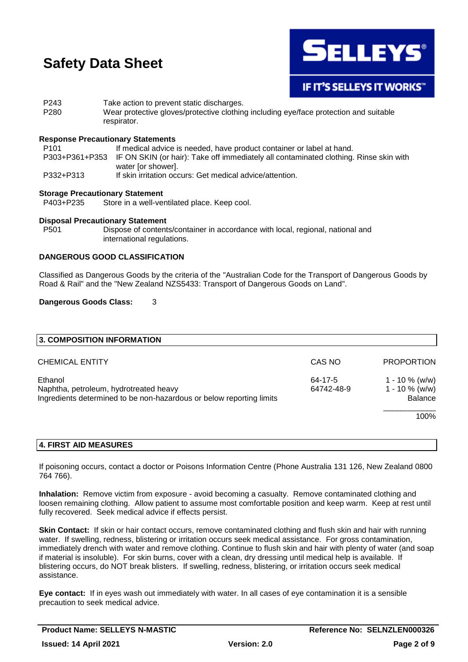

P243 Take action to prevent static discharges. P280 Wear protective gloves/protective clothing including eye/face protection and suitable respirator.

### **Response Precautionary Statements**

P101 If medical advice is needed, have product container or label at hand. P303+P361+P353 IF ON SKIN (or hair): Take off immediately all contaminated clothing. Rinse skin with water [or shower]. P332+P313 If skin irritation occurs: Get medical advice/attention.

#### **Storage Precautionary Statement**

P403+P235 Store in a well-ventilated place. Keep cool.

#### **Disposal Precautionary Statement**

P501 Dispose of contents/container in accordance with local, regional, national and international regulations.

# **DANGEROUS GOOD CLASSIFICATION**

Classified as Dangerous Goods by the criteria of the "Australian Code for the Transport of Dangerous Goods by Road & Rail" and the "New Zealand NZS5433: Transport of Dangerous Goods on Land".

### **Dangerous Goods Class:** 3

| 3. COMPOSITION INFORMATION                                                                                                |                       |                                                          |
|---------------------------------------------------------------------------------------------------------------------------|-----------------------|----------------------------------------------------------|
| <b>CHEMICAL ENTITY</b>                                                                                                    | CAS NO                | <b>PROPORTION</b>                                        |
| Ethanol<br>Naphtha, petroleum, hydrotreated heavy<br>Ingredients determined to be non-hazardous or below reporting limits | 64-17-5<br>64742-48-9 | $1 - 10 \%$ (w/w)<br>$1 - 10 \%$ (w/w)<br><b>Balance</b> |
|                                                                                                                           |                       | 100%                                                     |

# **4. FIRST AID MEASURES**

If poisoning occurs, contact a doctor or Poisons Information Centre (Phone Australia 131 126, New Zealand 0800 764 766).

**Inhalation:** Remove victim from exposure - avoid becoming a casualty. Remove contaminated clothing and loosen remaining clothing. Allow patient to assume most comfortable position and keep warm. Keep at rest until fully recovered. Seek medical advice if effects persist.

**Skin Contact:** If skin or hair contact occurs, remove contaminated clothing and flush skin and hair with running water. If swelling, redness, blistering or irritation occurs seek medical assistance. For gross contamination, immediately drench with water and remove clothing. Continue to flush skin and hair with plenty of water (and soap if material is insoluble). For skin burns, cover with a clean, dry dressing until medical help is available. If blistering occurs, do NOT break blisters. If swelling, redness, blistering, or irritation occurs seek medical assistance.

**Eye contact:** If in eyes wash out immediately with water. In all cases of eye contamination it is a sensible precaution to seek medical advice.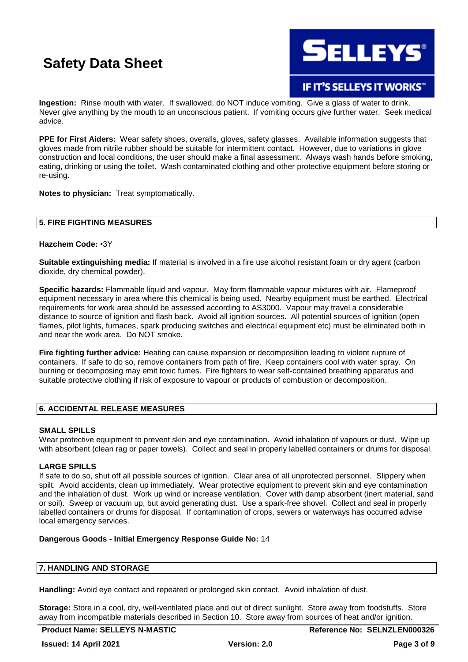

IF IT'S SELLEYS IT WORKS"

**Ingestion:** Rinse mouth with water. If swallowed, do NOT induce vomiting. Give a glass of water to drink. Never give anything by the mouth to an unconscious patient. If vomiting occurs give further water. Seek medical advice.

**PPE for First Aiders:** Wear safety shoes, overalls, gloves, safety glasses. Available information suggests that gloves made from nitrile rubber should be suitable for intermittent contact. However, due to variations in glove construction and local conditions, the user should make a final assessment. Always wash hands before smoking, eating, drinking or using the toilet. Wash contaminated clothing and other protective equipment before storing or re-using.

**Notes to physician:** Treat symptomatically.

### **5. FIRE FIGHTING MEASURES**

### **Hazchem Code:** •3Y

**Suitable extinguishing media:** If material is involved in a fire use alcohol resistant foam or dry agent (carbon dioxide, dry chemical powder).

**Specific hazards:** Flammable liquid and vapour. May form flammable vapour mixtures with air. Flameproof equipment necessary in area where this chemical is being used. Nearby equipment must be earthed. Electrical requirements for work area should be assessed according to AS3000. Vapour may travel a considerable distance to source of ignition and flash back. Avoid all ignition sources. All potential sources of ignition (open flames, pilot lights, furnaces, spark producing switches and electrical equipment etc) must be eliminated both in and near the work area. Do NOT smoke.

**Fire fighting further advice:** Heating can cause expansion or decomposition leading to violent rupture of containers. If safe to do so, remove containers from path of fire. Keep containers cool with water spray. On burning or decomposing may emit toxic fumes. Fire fighters to wear self-contained breathing apparatus and suitable protective clothing if risk of exposure to vapour or products of combustion or decomposition.

# **6. ACCIDENTAL RELEASE MEASURES**

#### **SMALL SPILLS**

Wear protective equipment to prevent skin and eye contamination. Avoid inhalation of vapours or dust. Wipe up with absorbent (clean rag or paper towels). Collect and seal in properly labelled containers or drums for disposal.

# **LARGE SPILLS**

If safe to do so, shut off all possible sources of ignition. Clear area of all unprotected personnel. Slippery when spilt. Avoid accidents, clean up immediately. Wear protective equipment to prevent skin and eye contamination and the inhalation of dust. Work up wind or increase ventilation. Cover with damp absorbent (inert material, sand or soil). Sweep or vacuum up, but avoid generating dust. Use a spark-free shovel. Collect and seal in properly labelled containers or drums for disposal. If contamination of crops, sewers or waterways has occurred advise local emergency services.

# **Dangerous Goods - Initial Emergency Response Guide No:** 14

# **7. HANDLING AND STORAGE**

**Handling:** Avoid eye contact and repeated or prolonged skin contact. Avoid inhalation of dust.

**Storage:** Store in a cool, dry, well-ventilated place and out of direct sunlight. Store away from foodstuffs. Store away from incompatible materials described in Section 10. Store away from sources of heat and/or ignition.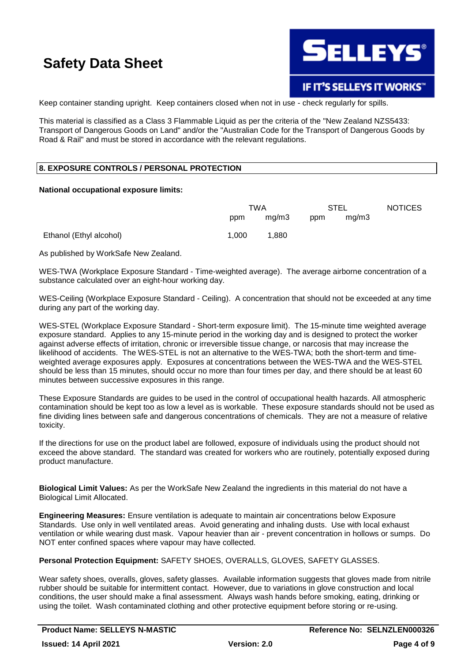

Keep container standing upright. Keep containers closed when not in use - check regularly for spills.

This material is classified as a Class 3 Flammable Liquid as per the criteria of the "New Zealand NZS5433: Transport of Dangerous Goods on Land" and/or the "Australian Code for the Transport of Dangerous Goods by Road & Rail" and must be stored in accordance with the relevant regulations.

# **8. EXPOSURE CONTROLS / PERSONAL PROTECTION**

#### **National occupational exposure limits:**

|                         | TWA   |       | STEL |       | <b>NOTICES</b> |
|-------------------------|-------|-------|------|-------|----------------|
|                         | ppm   | mg/m3 | ppm  | mq/m3 |                |
| Ethanol (Ethyl alcohol) | 1.000 | 1.880 |      |       |                |

As published by WorkSafe New Zealand.

WES-TWA (Workplace Exposure Standard - Time-weighted average). The average airborne concentration of a substance calculated over an eight-hour working day.

WES-Ceiling (Workplace Exposure Standard - Ceiling). A concentration that should not be exceeded at any time during any part of the working day.

WES-STEL (Workplace Exposure Standard - Short-term exposure limit). The 15-minute time weighted average exposure standard. Applies to any 15-minute period in the working day and is designed to protect the worker against adverse effects of irritation, chronic or irreversible tissue change, or narcosis that may increase the likelihood of accidents. The WES-STEL is not an alternative to the WES-TWA; both the short-term and timeweighted average exposures apply. Exposures at concentrations between the WES-TWA and the WES-STEL should be less than 15 minutes, should occur no more than four times per day, and there should be at least 60 minutes between successive exposures in this range.

These Exposure Standards are guides to be used in the control of occupational health hazards. All atmospheric contamination should be kept too as low a level as is workable. These exposure standards should not be used as fine dividing lines between safe and dangerous concentrations of chemicals. They are not a measure of relative toxicity.

If the directions for use on the product label are followed, exposure of individuals using the product should not exceed the above standard. The standard was created for workers who are routinely, potentially exposed during product manufacture.

**Biological Limit Values:** As per the WorkSafe New Zealand the ingredients in this material do not have a Biological Limit Allocated.

**Engineering Measures:** Ensure ventilation is adequate to maintain air concentrations below Exposure Standards. Use only in well ventilated areas. Avoid generating and inhaling dusts. Use with local exhaust ventilation or while wearing dust mask. Vapour heavier than air - prevent concentration in hollows or sumps. Do NOT enter confined spaces where vapour may have collected.

**Personal Protection Equipment:** SAFETY SHOES, OVERALLS, GLOVES, SAFETY GLASSES.

Wear safety shoes, overalls, gloves, safety glasses. Available information suggests that gloves made from nitrile rubber should be suitable for intermittent contact. However, due to variations in glove construction and local conditions, the user should make a final assessment. Always wash hands before smoking, eating, drinking or using the toilet. Wash contaminated clothing and other protective equipment before storing or re-using.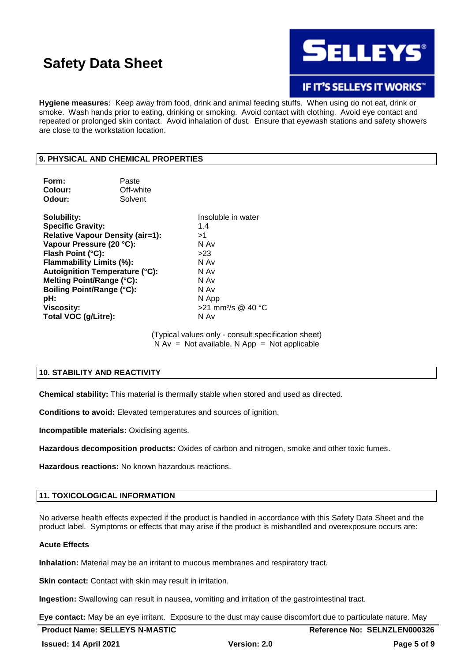

**IF IT'S SELLEYS IT WORKS"** 

**Hygiene measures:** Keep away from food, drink and animal feeding stuffs. When using do not eat, drink or smoke. Wash hands prior to eating, drinking or smoking. Avoid contact with clothing. Avoid eye contact and repeated or prolonged skin contact. Avoid inhalation of dust. Ensure that eyewash stations and safety showers are close to the workstation location.

# **9. PHYSICAL AND CHEMICAL PROPERTIES**

| Form:<br>Colour:<br>Odour:                                                                                                                                                                                                                                                                                                    | Paste<br>Off-white<br>Solvent |                                                                                                                                     |
|-------------------------------------------------------------------------------------------------------------------------------------------------------------------------------------------------------------------------------------------------------------------------------------------------------------------------------|-------------------------------|-------------------------------------------------------------------------------------------------------------------------------------|
| Solubility:<br><b>Specific Gravity:</b><br><b>Relative Vapour Density (air=1):</b><br>Vapour Pressure (20 °C):<br>Flash Point (°C):<br><b>Flammability Limits (%):</b><br><b>Autoignition Temperature (°C):</b><br>Melting Point/Range (°C):<br><b>Boiling Point/Range (°C):</b><br>pH:<br>Viscosity:<br>Total VOC (g/Litre): |                               | Insoluble in water<br>1.4<br>>1<br>N Av<br>>23<br>N Av<br>N Av<br>N Av<br>N Av<br>N App<br>$>21$ mm <sup>2</sup> /s @ 40 °C<br>N Av |

(Typical values only - consult specification sheet)  $N Av = Not available, N App = Not applicable$ 

# **10. STABILITY AND REACTIVITY**

**Chemical stability:** This material is thermally stable when stored and used as directed.

**Conditions to avoid:** Elevated temperatures and sources of ignition.

**Incompatible materials:** Oxidising agents.

**Hazardous decomposition products:** Oxides of carbon and nitrogen, smoke and other toxic fumes.

**Hazardous reactions:** No known hazardous reactions.

# **11. TOXICOLOGICAL INFORMATION**

No adverse health effects expected if the product is handled in accordance with this Safety Data Sheet and the product label. Symptoms or effects that may arise if the product is mishandled and overexposure occurs are:

#### **Acute Effects**

**Inhalation:** Material may be an irritant to mucous membranes and respiratory tract.

**Skin contact:** Contact with skin may result in irritation.

**Ingestion:** Swallowing can result in nausea, vomiting and irritation of the gastrointestinal tract.

**Eye contact:** May be an eye irritant. Exposure to the dust may cause discomfort due to particulate nature. May

| <b>Product Name: SELLEYS N-MASTIC</b> |  |
|---------------------------------------|--|
|                                       |  |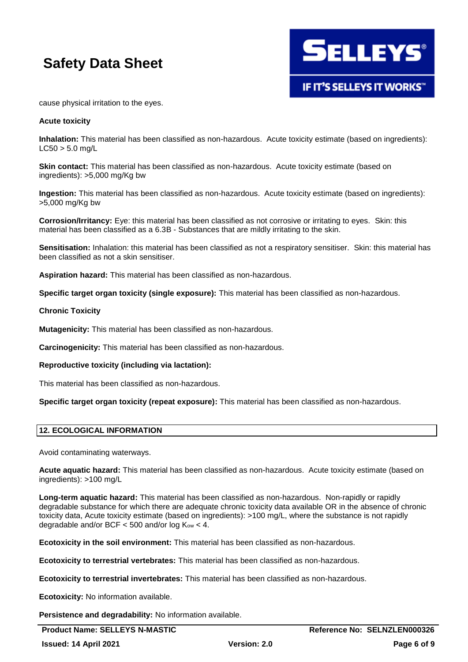

cause physical irritation to the eyes.

#### **Acute toxicity**

**Inhalation:** This material has been classified as non-hazardous. Acute toxicity estimate (based on ingredients):  $L C50 > 5.0$  ma/L

**Skin contact:** This material has been classified as non-hazardous. Acute toxicity estimate (based on ingredients): >5,000 mg/Kg bw

**Ingestion:** This material has been classified as non-hazardous. Acute toxicity estimate (based on ingredients): >5,000 mg/Kg bw

**Corrosion/Irritancy:** Eye: this material has been classified as not corrosive or irritating to eyes. Skin: this material has been classified as a 6.3B - Substances that are mildly irritating to the skin.

**Sensitisation:** Inhalation: this material has been classified as not a respiratory sensitiser. Skin: this material has been classified as not a skin sensitiser.

**Aspiration hazard:** This material has been classified as non-hazardous.

**Specific target organ toxicity (single exposure):** This material has been classified as non-hazardous.

#### **Chronic Toxicity**

**Mutagenicity:** This material has been classified as non-hazardous.

**Carcinogenicity:** This material has been classified as non-hazardous.

**Reproductive toxicity (including via lactation):**

This material has been classified as non-hazardous.

**Specific target organ toxicity (repeat exposure):** This material has been classified as non-hazardous.

#### **12. ECOLOGICAL INFORMATION**

Avoid contaminating waterways.

**Acute aquatic hazard:** This material has been classified as non-hazardous. Acute toxicity estimate (based on ingredients): >100 mg/L

**Long-term aquatic hazard:** This material has been classified as non-hazardous. Non-rapidly or rapidly degradable substance for which there are adequate chronic toxicity data available OR in the absence of chronic toxicity data, Acute toxicity estimate (based on ingredients): >100 mg/L, where the substance is not rapidly degradable and/or BCF  $<$  500 and/or log  $K_{ow}$   $<$  4.

**Ecotoxicity in the soil environment:** This material has been classified as non-hazardous.

**Ecotoxicity to terrestrial vertebrates:** This material has been classified as non-hazardous.

**Ecotoxicity to terrestrial invertebrates:** This material has been classified as non-hazardous.

**Ecotoxicity:** No information available.

**Persistence and degradability:** No information available.

**Product Name: SELLEYS N-MASTIC Reference No: SELNZLEN000326**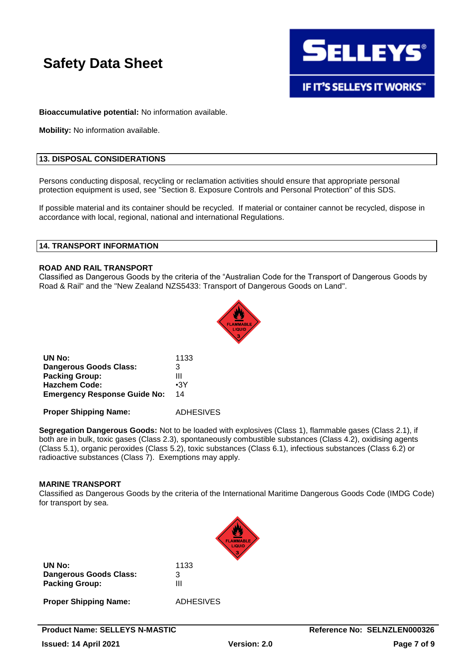

**IF IT'S SELLEYS IT WORKS"** 

**Bioaccumulative potential:** No information available.

**Mobility:** No information available.

# **13. DISPOSAL CONSIDERATIONS**

Persons conducting disposal, recycling or reclamation activities should ensure that appropriate personal protection equipment is used, see "Section 8. Exposure Controls and Personal Protection" of this SDS.

If possible material and its container should be recycled. If material or container cannot be recycled, dispose in accordance with local, regional, national and international Regulations.

#### **14. TRANSPORT INFORMATION**

#### **ROAD AND RAIL TRANSPORT**

Classified as Dangerous Goods by the criteria of the "Australian Code for the Transport of Dangerous Goods by Road & Rail" and the "New Zealand NZS5433: Transport of Dangerous Goods on Land".



| UN No:                              | 1133       |
|-------------------------------------|------------|
| Dangerous Goods Class:              | 3          |
| <b>Packing Group:</b>               | Ш          |
| <b>Hazchem Code:</b>                | $\cdot$ 3Y |
| <b>Emergency Response Guide No:</b> | 14         |
|                                     |            |

**Proper Shipping Name:** ADHESIVES

**Segregation Dangerous Goods:** Not to be loaded with explosives (Class 1), flammable gases (Class 2.1), if both are in bulk, toxic gases (Class 2.3), spontaneously combustible substances (Class 4.2), oxidising agents (Class 5.1), organic peroxides (Class 5.2), toxic substances (Class 6.1), infectious substances (Class 6.2) or radioactive substances (Class 7). Exemptions may apply.

#### **MARINE TRANSPORT**

Classified as Dangerous Goods by the criteria of the International Maritime Dangerous Goods Code (IMDG Code) for transport by sea.



| UN No:                 | 1133 |
|------------------------|------|
| Dangerous Goods Class: | 3    |
| <b>Packing Group:</b>  | Ш    |

**Proper Shipping Name:** ADHESIVES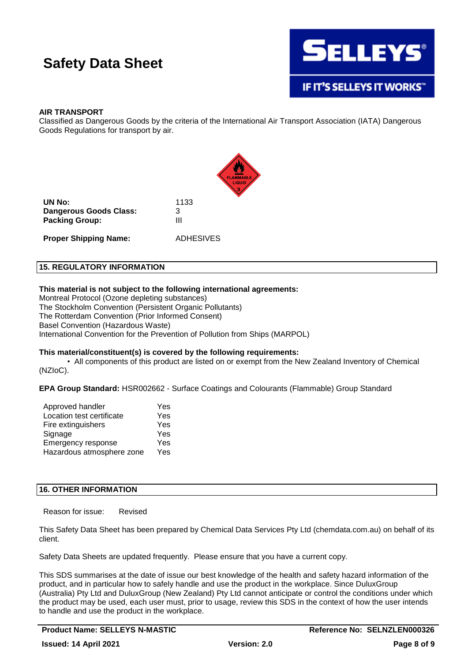

# **AIR TRANSPORT**

Classified as Dangerous Goods by the criteria of the International Air Transport Association (IATA) Dangerous Goods Regulations for transport by air.



**UN No:** 1133 **Dangerous Goods Class:** 3 **Packing Group:** III

**Proper Shipping Name:** ADHESIVES

### **15. REGULATORY INFORMATION**

### **This material is not subject to the following international agreements:**

Montreal Protocol (Ozone depleting substances) The Stockholm Convention (Persistent Organic Pollutants) The Rotterdam Convention (Prior Informed Consent) Basel Convention (Hazardous Waste) International Convention for the Prevention of Pollution from Ships (MARPOL)

# **This material/constituent(s) is covered by the following requirements:**

• All components of this product are listed on or exempt from the New Zealand Inventory of Chemical (NZIoC).

**EPA Group Standard:** HSR002662 - Surface Coatings and Colourants (Flammable) Group Standard

| Approved handler          | Yes |
|---------------------------|-----|
| Location test certificate | Yes |
| Fire extinguishers        | Yes |
| Signage                   | Yes |
| Emergency response        | Yes |
| Hazardous atmosphere zone | Yes |

# **16. OTHER INFORMATION**

Reason for issue: Revised

This Safety Data Sheet has been prepared by Chemical Data Services Pty Ltd (chemdata.com.au) on behalf of its client.

Safety Data Sheets are updated frequently. Please ensure that you have a current copy.

This SDS summarises at the date of issue our best knowledge of the health and safety hazard information of the product, and in particular how to safely handle and use the product in the workplace. Since DuluxGroup (Australia) Pty Ltd and DuluxGroup (New Zealand) Pty Ltd cannot anticipate or control the conditions under which the product may be used, each user must, prior to usage, review this SDS in the context of how the user intends to handle and use the product in the workplace.